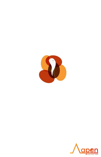

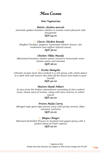# *M***AIN** *C***OURSE**

## *Non-Vegetarian*

### *Butter chicken morsels*

*(Aromatic golden boneless chicken in tomato cream flavored with fenugreek) SGD 34.00*

#### *Classic Chicken Rezala*

*(Stuffed Cheddar, peppers, marinated chicken breast, rich cardamom and saffron infused sauce) SGD 36.00*

#### *Chicken Tikka Masala*

*(Marinated boneless chicken pieces tossed in homemade onion tomato sauce and masala) SGD 36.00*

#### *Kosha Mangsho*

*(Chunks of goat meat slow-cooked in a rich gravy with whole spices to a dark and soft texture that falls off the bones and melts in your mouth)*

#### *SGD 40.00*

#### *Mutton Shank Nihari*

*(A stew from the Indian subcontinent consisting of slow-cooked meat, shank meat of mutton, along with bone marrow in nihari sauce)*

#### *SGD 40.00*

#### *Prawn Malai Curry*

*(Bengali style giant tiger prawn curry with young coconut, Dijon mustard, turmeric) SGD 30.00* 

#### *Bhapa Chingri*

*(Steamed deshelled Prawns in mustard and yogurt gravy with a perfect blend of Chef's spices) SGD 30.00* 

> $\Lambda$  Signature Dish Kindly note that all prices are subject to 10% service charge and 7% GST

<u>\apon</u>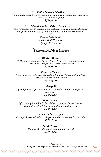#### *Chital Macher Muitha*   $\overline{\Lambda}$

*(Fish balls made from the deboned flesh of clown knife fish and then cooked in an onion gravy)*

*SGD 32.00* 

*Bhetki Macher Paturi (Boneless)*   $\Delta$ 

*(Barramundi Fish or Seabass marinated in a spiced mustard paste, wrapped in banana leaf individually and then slow cooked till* 

*tender) Classic: SGD 30.00 Mellow: SGD 30.00 Spicy: SGD 30.00*

# *V***egetarian** *M***ain** *C***ourse**

#### *Dhokar Dalna*

*(A Bengali vegetarian classic of fried lentil cakes, finished in a warm, spicy, ginger-and-cumin laced sauce) SGD 28.00* 

#### *Kumro'r Chokka*

*(Ripe sweet pumpkins and potatoes braised slowly and finished with toasted spices and ghee) SGD 24.00* 

#### *Aloo Gobhi*

*(Cauliflower & potatoes tossed with onion, tomato and fresh coriander) SGD 24.00* 

#### *Shahi Paneer*

*(Soft, creamy Mughlai Style cuisine of cottage cheese is a true celebration of rich flavours and treasured spices) SGD 30.00* 

*Paneer Khatta Pyaz* 

*(Cottage cheese stir fried with pickle onion; tomato onion masala) SGD 28.00* 

> *Palak Paneer (Spinach & cottage cheesein creamy gravy) SGD 30.00*

 $\Lambda$  Signature Dish Kindly note that all prices are subject to 10% service charge and 7% GST

<u>**Qpon**</u>